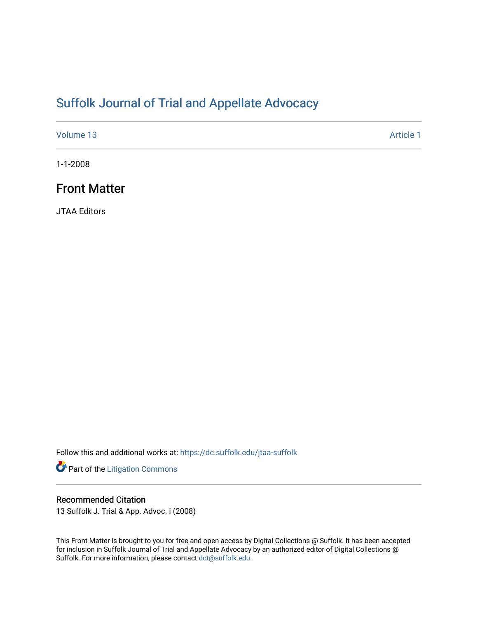# [Suffolk Journal of Trial and Appellate Advocacy](https://dc.suffolk.edu/jtaa-suffolk)

[Volume 13](https://dc.suffolk.edu/jtaa-suffolk/vol13) Article 1

1-1-2008

# Front Matter

JTAA Editors

Follow this and additional works at: [https://dc.suffolk.edu/jtaa-suffolk](https://dc.suffolk.edu/jtaa-suffolk?utm_source=dc.suffolk.edu%2Fjtaa-suffolk%2Fvol13%2Fiss1%2F1&utm_medium=PDF&utm_campaign=PDFCoverPages) 

Part of the [Litigation Commons](http://network.bepress.com/hgg/discipline/910?utm_source=dc.suffolk.edu%2Fjtaa-suffolk%2Fvol13%2Fiss1%2F1&utm_medium=PDF&utm_campaign=PDFCoverPages)

### Recommended Citation

13 Suffolk J. Trial & App. Advoc. i (2008)

This Front Matter is brought to you for free and open access by Digital Collections @ Suffolk. It has been accepted for inclusion in Suffolk Journal of Trial and Appellate Advocacy by an authorized editor of Digital Collections @ Suffolk. For more information, please contact [dct@suffolk.edu.](mailto:dct@suffolk.edu)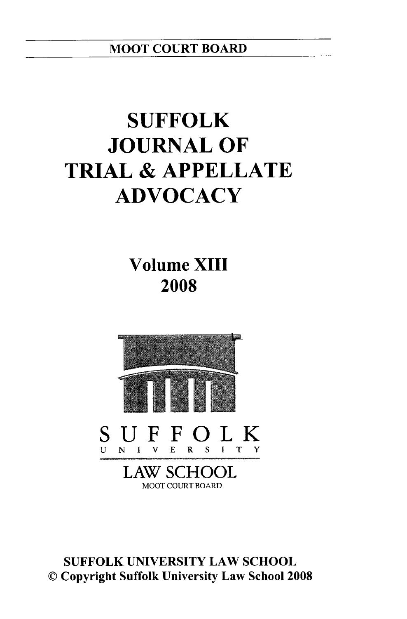MOOT **COURT** BOARD

# **SUFFOLK JOURNAL OF TRIAL & APPELLATE ADVOCACY**

**Volume XIII 2008**



**SUFFOLK UNIVERSITY** LAW **SCHOOL ©** Copyright Suffolk University Law School **2008**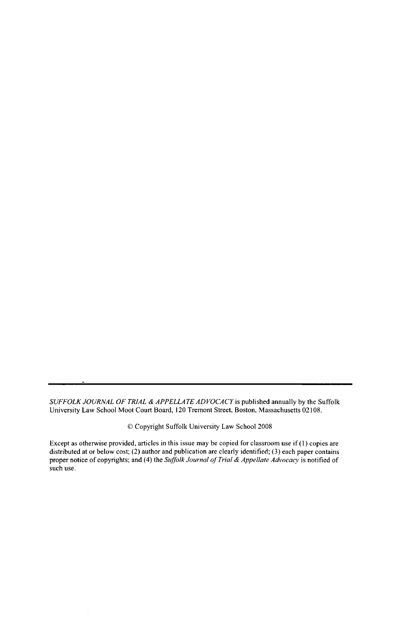*SUFFOLK JOURNAL OF TRIAL & APPELLATE ADVOCACY* is published annually by the Suffolk University Law School Moot Court Board, 120 Tremont Street, Boston, Massachusetts 02108.

*©* Copyright Suffolk University Law School 2008

Except as otherwise provided, articles in this issue may be copied for classroom use if (1) copies are distributed at or below cost; (2) author and publication are clearly identified; (3) each paper contains proper notice of copyrights; and (4) the *Suffolk Journal of Trial & Appellate Advocacy* is notified of such use.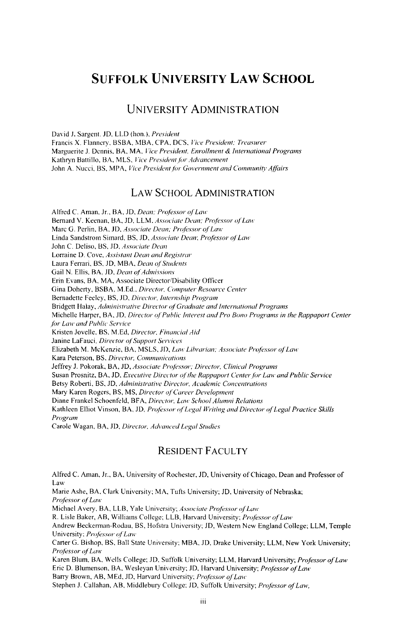# **SUFFOLK UNIVERSITY LAW SCHOOL**

#### **UNIVERSITY ADMINISTRATION**

David **J.** Sargent. JD. LLD (hon.), *President* Francis X. Flannery, BSBA, **MBA,** CPA, DCS, *Vice President. Treasurer* Marguerite J. Dennis, **BA,** MA, *lice President. Enrollment & International Programs* Kathryn Battillo, BA, MLS, *Vice President for Advancement* John A. Nucci, BS, MPA, *Vice President for Government and Community* Affairs

#### LAW **SCHOOL ADMINISTRATION**

Alfred **C.** Aman, Jr., **BA, JD,** *Dean, Professor of* Law Bernard V. Keenan, BA, JD, LLM. Associate *Dean: Professor of Law* Marc **G.** Perlin, BA, **JD,** *Associate Dean, Professor* of'Law Linda Sandstrom Simard, BS, **JD,** *Associate Dean; Professor of Law* John C. Deliso, BS, JD, *Associate Dean* Lorraine **D.** Cove, *Assistant Dean and Registrar* Laura Ferrari, BS, **JD,** MBA, *Dean of Students* Gail N. Ellis, BA, JD, *Dean of Admissions* Erin Evans, BA, **MA,** Associate Director/Disability Officer Gina Doherty, BSBA, **M.Ed..** *Director, Computer Resource Center* Bernadette Feeley, BS, **JD,** *Director, Internship* Programi Bridgett Halay, *Administrative Director of Graduate and International Programs* Michelle Harper, **BA,** JD, *Director of Public Interest and Pro Bono Programs in the Rappaport Center* for Law and Public Service Kristen Jovelle, BS. **M.Ed,** Director. Financial *Aid* Janine LaFauci, *Director of Support Services* Elizabeth M. McKenzie, BA, MSLS, **JD,** *Lao Librarian: Associate Professor of'Law* Kara Peterson, BS. *Director. Comnnications* Jeffrey J. Pokorak, BA, JD, *Associate Professor; Director, Clinical Programs* Susan Prosnitz, BA, JD, *Executive Director of the Rappaport Center for* Law *and Public Service* Betsy Roberti, BS, **JD,** *Adniinistrative Director, Academic Concentrations* Mary Karen Rogers, BS, **MS,** *Director of Career Development* Diane Frankel Schoenfeld, BFA, *Director,* Law School Alumni Relations Kathleen Elliot Vinson, BA, **JD,** Professor *of'Legal lVriting* and *Director of'Legal Practice* Skills Program Carole Wagan, BA, **JD,** Director. Advanced Legal *Studies*

#### **RESIDENT FACULTY**

Alfred **C. Aman,** Jr., **BA,** University of Rochester, **JD,** University of Chicago, Dean and Professor of Law Marie Ashe, **BA,** Clark University; **MA,** Tufts University; **JD.** University of Nebraska; *Professor of* Law Michael Avery, BA, LLB, Yale University; *Associate Professor of'Law* R. Lisle Baker, AB, Williams College; LLB, Harvard University; *Pro/essor ofLaw* Andrew Beckerrnan-Rodau, BS, Hofstra University; **JD,** Western New England College; LLM, Temple University: Professor of Law Carter **G.** Bishop, BS, Ball State University; MBA, **JD,** Drake University; LLM, New York University; *Professor of* Law Karen Blum, BA, Wells College; JD, Suffolk University; LLM, Harvard University; *Professor of Law* Eric D. Blumenson, BA, Wesleyan University; JD, Harvard University; *Professor of Law* Barry Brown, AB, MEd, JD, Harvard University; *Professor of Law* Stephen J. Callahan, AB, Middlebury College; JD, Suffolk University; *Projessor of Law,*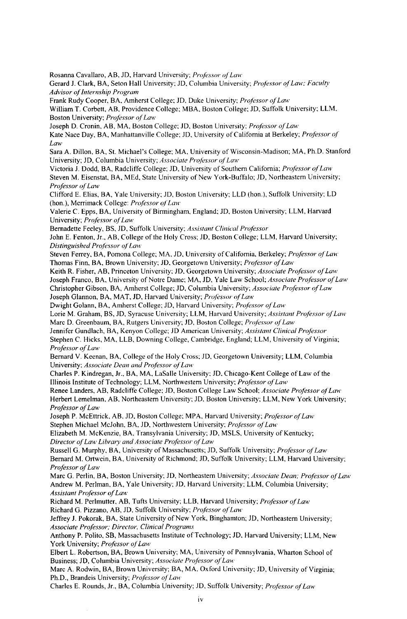Rosanna Cavallaro, AB, **JD,** Harvard University; Pro/essor **q/** Lan" Gerard **J.** Clark, BA, Seton Hall University; **JD,** Columbia University; *Professor of Law; Faculty Advisor of Internship Program* Frank Rudy Cooper, BA, Amherst College; **JD.** Duke University; Professor of Law William T. Corbett, AB, Providence College; MBA, Boston College; **JD,** Suffolk University; LLM, Boston University; *Professor* **f** Law Joseph D. Cronin, AB, MA, Boston College: JD, Boston University; *Professor of Law* Kate Nace Day, BA, Manhattanville College; JD, University of California at Berkeley; *Prolessor of Law* Sara A. Dillon, BA, St. Michael's College; MA, University of Wisconsin-Madison; MA, Ph.D. Stanford University; JD, Columbia University; *Associate Professor of Law'* Victoria J. Dodd, BA, Radcliffe College; JD, University of Southern California; *Professor* of *Law* Steven M. Eisenstat, BA, MEd, State University of New York-Buffalo; JD, Northeastern University; *Professor of Law* Clifford E. Elias, BA, Yale University; JD, Boston University; LLD (hon.), Suffolk University; LD (hon.), Merrimack College: *Professor of* Law Valerie C. Epps, BA, University of Birmingham, England; JD, Boston University; LLM, Harvard University; *Professor* **of** Law Bernadette Feeley, BS, JD, Suffolk University; *Assistant Clinical Professor* John E. Fenton, Jr., AB, College of the Holy Cross; **JD,** Boston College; LLM, Harvard University; *Distinguished Prolessor of* Law Steven Ferrey, BA, Pomona College; MA, JD, University of California, Berkeley; *Professor of Law'* Thomas Finn, BA, Brown University; **JD,** Georgetown University; *Professor of* Law Keith R. Fisher, AB, Princeton University; **JD,** Georgetown University; *Associate Professor* of Law Joseph Franco, BA, University of Notre Dame; MA, JD, Yale Law School; *Associate Professor oj Lao'* Christopher Gibson, BA, Amherst College; JD, Columbia University; *Associate Professor of Law* Joseph Glannon, BA, MAT, JD, Harvard University; *Professor of* Law Dwight Golann, BA, Amherst College; JD, Harvard University; *Professor of Law* Lorie M. Graham, BS, JD, Syracuse University; LLM, Harvard University; *Assistant Professor of'Law* Marc D. Greenbaum, BA, Rutgers University; JD, Boston College; *Professor of Law* Jennifer Gundlach, BA, Kenyon College; **JD** American University; *Assistant Clinical Professor* Stephen C. Hicks, MA, LLB, Downing College, Cambridge, England; LLM, University of Virginia; *Professor* **of** *Law'* Bernard V. Keenan, BA, College of the Holy Cross; JD, Georgetown University; LLM, Columbia University; *Associate Dean and Professor of Law* Charles P. Kindregan, Jr., BA, MA, LaSalle University; **JD,** Chicago-Kent College of Law of the Illinois Institute of Technology; LLM, Northwestern University; *Professor* of *Law* Renee Landers, AB, Radcliffe College; JD, Boston College Law School; *Associate Professor of Law* Herbert Lemelman, AB, Northeastern University; **JD,** Boston University; LLM, New York University; *Professor* of *Lau'* Joseph P. McEttrick, AB, **JD,** Boston College; MPA, Harvard University; *Prolessor* **of** Law Stephen Michael MeJohn, BA, JD, Northwestern University; *Professor* of Law Elizabeth M. McKenzie, BA, Transylvania University; JD, MSLS, University of Kentucky; Director *oJ Law'* Library *and Associate Professor of* Law Russell G. Murphy, BA, University of Massachusetts; JD, Suffolk University; *Professor* of *Law* Bernard M. Ortwein, BA, University of Richmond; JD, Suffolk University; LLM, Harvard University; *Professor of* Law Marc G. Perlin, BA, Boston University; JD, Northeastern University; *Associate Dean; Projessor of* Law Andrew M. Perlman, BA, Yale University; **JD,** Harvard University; LLM, Columbia University; *Assistant Professor of* Law Richard M. Perlmutter, AB, Tufts University; LLB, Harvard University; *Professor of* Law Richard G. Pizzano, AB, **JD,** Suffolk University; *Prolessor of'Law* Jeffrey J. Pokorak, BA, State University of New York, Binghamton; JD, Northeastern University; *Associate Professor; Director, Clinical Programs* Anthony P. Polito, SB, Massachusetts Institute of Technology; **JD,** Harvard University; LLM, New York University; *Professor oj Law* Elbert L. Robertson, BA, Brown University; MA, University of Pennsylvania, Wharton School of

Business; JD, Columbia University; *Associate Professor of'La'* Marc A. Rodwin, BA, Brown University; BA, MA, Oxford University; JD, University of Virginia; Ph.D., Brandeis University; *Professor of* Law

Charles E. Rounds, Jr., BA, Columbia University; JD, Suffolk University; *Projessor of* Law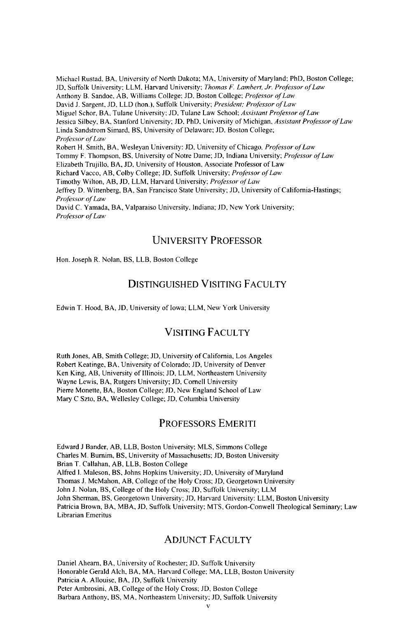Michael Rustad, BA, University of North Dakota; MA, University of Maryland; PhD, Boston College; JD, Suffolk University; LLM, Harvard University; *Thomas F. Lambert, Jr. Professor of Law* Anthony B. Sandoe, AB, Williams College; **JD,** Boston College; *Professor of Law* David **J.** Sargent, JD, LLD (hon.), Suffolk University; *President; Professor of Law* Miguel Schor, BA, Tulane University; **JD,** Tulane Law School: *Assistant Professor of Law* Jessica Silbey, BA, Stanford University; **JD,** PhD, University of Michigan, *Assistant Professor of* Law Linda Sandstrom Simard, BS, University of Delaware; JD, Boston College; *Professor of Law* Robert H. Smith, BA, Wesleyan University: JD, University of Chicago, *Professor of Law* Tommy F. Thompson, BS, University of Notre Dame; JD, Indiana University; *Professor of Law* Elizabeth Trujillo, BA, JD, University of Houston, Associate Professor of Law Richard Vacco, AB, Colby College; **JD,** Suffolk University; *Profssor of Law* Timothy Wilton, AB, JD, LLM, Harvard University; *Professor of'Law* Jeffrey D. Wittenberg, BA, San Francisco State University; JD, University of California-Hastings; *Professor of Law* David C. Yamada, BA, Valparaiso University, Indiana; **JD,** New York University; *Professor of Law* 

#### **UNIVERSITY** PROFESSOR

Hon. Joseph R. Nolan, BS, LLB, Boston College

#### DISTINGUISHED VISITING FACULTY

Edwin T. Hood, BA, JD, University of Iowa; LLM, New York University

#### VISITING FACULTY

Ruth Jones, AB, Smith College; JD, University of California, Los Angeles Robert Keatinge, BA, University of Colorado; JD, University of Denver Ken King, AB, University of Illinois; JD, LLM, Northeastern University Wayne Lewis, BA, Rutgers University; JD, Cornell University Pierre Monette, BA, Boston College; JD, New England School of Law Mary C Szto, BA, Wellesley College; **JD,** Columbia University

#### PROFESSORS EMERITI

Edward **J** Bander, AB, LLB, Boston University; MLS, Simmons College Charles M. Burnim, BS, University of Massachusetts; JD, Boston University Brian T. Callahan, AB, LLB, Boston College Alfred **1.** Maleson, BS, Johns Hopkins University; JD, University of Maryland Thomas J. McMahon, AB, College of the Holy Cross; JD, Georgetown University John **J.** Nolan, BS, College of the Holy Cross; **JD,** Suffolk University; LLM John Sherman, BS, Georgetown University; **JD,** Harvard University: LLM, Boston University Patricia Brown, BA, MBA, JD, Suffolk University; MTS, Gordon-Conwell Theological Seminary; Law Librarian Emeritus

#### ADJUNCT FACULTY

Daniel Abeam, BA, University of Rochester; JD, Suffolk University Honorable Gerald Alch, BA, MA, Harvard College; MA, LLB, Boston University Patricia A. Allouise, BA, JD, Suffolk University Peter Ambrosini, AB, College of the Holy Cross; JD, Boston College Barbara Anthony, BS, MA, Northeastern University; JD, Suffolk University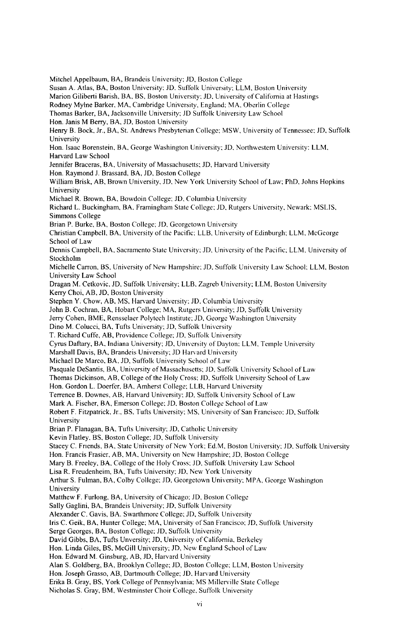Mitchel Appelbaum, BA, Brandeis University; **JD,** Boston College

Susan A. Atlas, BA, Boston University: JD. Suffolk University; LLM, Boston University

Marion Giliberti Barish, BA, BS, Boston University. *JD,* University of California at Hastings

Rodney Mylne Barker, MA, Cambridge University, England; MA, Oberlin College

Thomas Barker, BA, Jacksonville University; **JD** Suffolk University Law School

Hon. Janis M Berry, BA, **JD,** Boston University

Henry B. Bock, Jr., BA, St. Andrews Presbyterian College; MSW, University of Tennessee: **JD,** Suffolk University

Hon. Isaac Borenstein, BA, George Washington University; JD. Northwestern University: LLM, Harvard Law School

Jennifer Braceras, BA, University of Massachusetts; **JD,** Harvard University

Hon. Raymond J. Brassard, BA, JD, Boston College

William Brisk, AB, Brown University, JD, New York University School of Law; PhD, Johns Hopkins University

Michael R. Brown, BA, Bowdoin College: *JD,* Columbia University

Richard L. Buckingham, *BA,* Framingham State College: *JD,* Rutgers University, Newark: MSLIS. Simmons College

Brian P. Burke, BA, Boston College; **JD,** Georgetown University

Christian Campbell, BA, University of the Pacific, LLB, University of Edinburgh: LLM, McGeorge School of Law

Dennis Campbell, BA, Sacramento State University: JD, University of the Pacific. LEM, University of Stockholm

Michelle Carron, BS, University of New Hampshire; *JD*, Suffolk University Law School; LLM, Boston University Law School

Dragan M. Cetkovic, JD, Suffolk University; LLB, Zagreb University; LEM, Boston University Kerry Choi, AB, **JD,** Boston University

Stephen Y. Chow, AB, **MS,** Harvard University: *JD,* Columbia University

John B. Cochran, BA, Hobart College; MA, Rutgers University; JD, Suffolk University

Jerry Cohen, BME, Rensselaer Polytech Institute. **JD,** George Washington University

Dino M. Colucci, *BA.* Tufts University: JD, Suffolk University

T. Richard Cuffe, AB, Providence College; JD, Suffolk University

Cyrus Daftary, BA, Indiana University; **JD,** University of Dayton: *ELM,* Temple University

Marshall Davis, BA, Brandeis University JD Harvard University

Michael De Marco, BA, JD, Suffolk University School of Law

Pasquale DeSantis, BA, University of Massachusetts; **JD,** Suffolk University School of Law

Thomas Dickinson, AB, College of the Holy Cross: **JD.** Suffolk University School of Law

Hon. Gordon L. Doerfer, BA, Amherst College; LLB, Harvard University

Terrence B. Downes, AB, Harvard University: JD, Suffolk University School of Law

Mark A. Fischer, BA, Emerson College: **JD,** Boston College School of Law

Robert F. Fitzpatrick, Jr., *BS,* Tufts University; *MS,* University of San Francisco: **JD,** Suffolk University

Brian P. Flanagan, BA, Tufts University. JD, Catholic University

Kevin Flatley, BS, Boston College; *JD,* Suffolk University

Stacey C. Friends, BA, State University of New York; Ed.M, Boston University **JD.** Suffolk University

Hon. Francis Frasier, AB, *MA,* University on New Hampshire; **JD,** Boston College

Mary B. Freeley, BA, College of the Holy Cross: JD, Suffolk University Law School

Lisa R. Freudenheim, BA, Tufts University; *JD,* New York University

Arthur S. Fulman, BA, Colby College: JD, Georgetown University; MPA, George Washington University

Matthew F. Furlong, BA, University of Chicago; **JD,** Boston College

Sally Gaglini, BA, Brandeis University; **JD,** Suffolk University

Alexander C. Gavis, BA. Swarthmore College: **JD,** Suffolk University

Iris C. Geik, BA, Hunter College; MA, University of San Francisco: *JD,* Suffolk University

Serge Georges, BA, Boston College; **JD,** Suffolk University

David Gibbs, BA, Tufts Unversity; **JD,** University of California, Berkeley

Hon. Linda Giles, BS, McGill University; **JD.** New England School of *Law*

Hon. Edward M. Ginsburg, AB, **JD,** Harvard University

Alan S. Goldberg, BA, Brooklyn College; **JD,** Boston College; LEM, Boston University

Hon. Joseph Grasso, AB, Dartmouth College; *JD,* Harvard University

Erika B. Gray, BS, York College of Pennsylvania; MS Millerville State College

Nicholas S. Gray, BM, Westminster Choir College, Suffolk University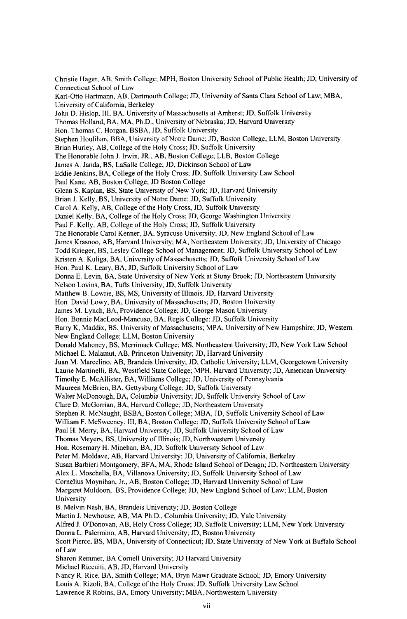Christie Hager, AB, Smith College; MPH, Boston University School of Public Health; JD, University of Connecticut School of Law Karl-Otto Hartmann, AB, Dartmouth College; JD, University of Santa Clara School of Law; MBA, University of California, Berkeley John D. Hislop, Ill, BA, University of Massachusetts at Amherst; JD, Suffolk University Thomas Holland, BA, MA, Ph.D., University of Nebraska; **JD,** Harvard University Hon. Thomas C. Horgan, BSBA, JD, Suffolk University Stephen Houlihan, BBA, University of Notre Dame; JD, Boston College; LLM, Boston University Brian Hurley, AB, College of the Holy Cross; JD, Suffolk University The Honorable John J. Irwin, JR., AB, Boston College; LLB, Boston College James A. Janda, BS, LaSalle College; JD, Dickinson School of Law Eddie Jenkins, BA, College of the Holy Cross; JD, Suffolk University Law School Paul Kane, AB, Boston College; JD Boston College Glenn S. Kaplan, BS, State University of New York; JD, Harvard University Brian J. Kelly, BS, University of Notre Dame; **JD,** Suffolk University Carol A. Kelly, AB, College of the Holy Cross, JD, Suffolk University Daniel Kelly, BA, College of the Holy Cross; JD, George Washington University Paul F. Kelly, AB, College of the Holy Cross; JD, Suffolk University The Honorable Carol Kenner, BA, Syracuse University; **JD,** New England School of Law James Krasnoo, AB, Harvard University; MA, Northeastern University; JD, University of Chicago Todd Krieger, BS, Lesley College School of Management; JD, Suffolk University School of Law Kristen A. Kuliga, BA, University of Massachusetts; JD, Suffolk University School of Law Hon. Paul K. Leary, BA, JD, Suffolk University School of Law Donna E. Levin, BA, State University of New York at Stony Brook; **JD,** Northeastern University Nelson Lovins, BA, Tufts University; **JD,** Suffolk University Matthew B. Lowrie, BS, MS, University of Illinois, JD, Harvard University Hon. David Lowy, BA, University of Massachusetts; JD, Boston University James M. Lynch, BA, Providence College; **JD,** George Mason University Hon. Bonnie MacLeod-Mancuso, BA, Regis College; JD, Suffolk University Barry K, Maddix, BS, University of Massachusetts; MPA, University of New Hampshire; JD, Western New England College; LLM, Boston University Donald Mahoney, BS, Merrimack College; MS, Northeastern University; **JD,** New York Law School Michael E. Malamut, AB, Princeton University; JD, Harvard University Juan M. Marcelino, AB, Brandeis University; **JD,** Catholic University; LLM, Georgetown University Laurie Martinelli, BA, Westfield State College; MPH, Harvard University; JD, American University Timothy E. McAllister, BA, Williams College; JD, University of Pennsylvania Maureen McBrien, BA, Gettysburg College; JD, Suffolk University Walter McDonough, BA, Columbia University; JD, Suffolk University School of Law Clare **D.** McGorrian, BA, Harvard College; JD, Northeastern University Stephen R. McNaught, BSBA, Boston College; MBA, JD, Suffolk University School of Law William F. McSweeney, II1, BA, Boston College; JD, Suffolk University School of Law Paul H. Merry, BA, Harvard University; JD, Suffolk University School of Law Thomas Meyers, BS, University of Illinois; JD, Northwestern University Hon. Rosemary H. Minehan, BA, JD, Suffolk University School of Law Peter M. Moldave, AB, Harvard University; JD, University of California, Berkeley Susan Barbieri Montgomery, BFA, MA, Rhode Island School of Design; JD, Northeastern University Alex L. Moschella, BA, Villanova University; JD, Suffolk University School of Law Cornelius Moynihan, Jr., AB, Boston College; JD, Harvard University School of Law Margaret Muldoon, BS, Providence College; JD, New England School of Law; LLM, Boston University B. Melvin Nash, BA, Brandeis University; JD, Boston College Martin J. Newhouse, AB, MA Ph.D., Columbia University; JD, Yale University Alfred J. O'Donovan, AB, Holy Cross College; **JD,** Suffolk University; LLM, New York University Donna L. Paiermino, AB, Harvard University; **JD,** Boston University Scott Pierce, BS, MBA, University of Connecticut; JD, State University of New York at Buffalo School of Law Sharon Remmer, BA Cornell University; JD Harvard University Michael Riccuiti, AB, JD, Harvard University Nancy R. Rice, BA, Smith College; MA, Bryn Mawr Graduate School; JD, Emory University Louis A. Rizoli, BA, College of the Holy Cross; JD, Suffolk University Law School

Lawrence R Robins, BA, Emory University; MBA, Northwestern University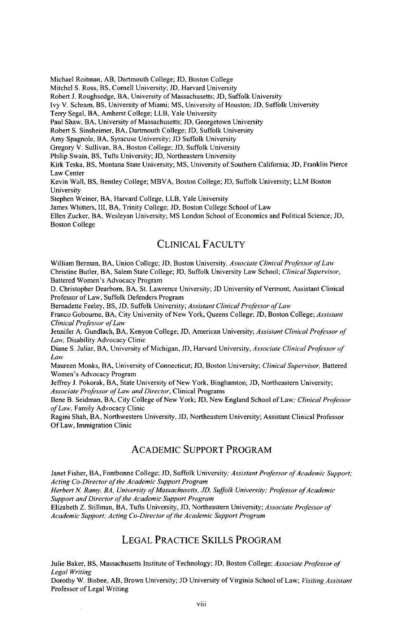Michael Roitman, AB, Dartmouth College; JD, Boston College

Mitchel S. Ross, BS, Cornell University; JD, Harvard University

Robert J. Roughsedge, BA, University of Massachusetts; JD, Suffolk University

Ivy V. Schram, BS, University of Miami; MS, University of Houston; JD, Suffolk University

Terry Segal, BA, Amherst College; LLB, Yale University

Paul Shaw, BA, University of Massachusetts; **JD,** Georgetown University

Robert S. Sinsheimer, BA, Dartmouth College; **JD,** Suffolk University

Amy Spagnole, BA, Syracuse University; JD Suffolk University

Gregory V. Sullivan, *BA,* Boston College; JD, Suffolk University

Philip Swain, BS, Tufts University; **JD,** Northeastern University

Kirk Teska, BS, Montana State University; MS, University of Southern California; JD, Franklin Pierce Law Center

Kevin Wall, BS, Bentley College; MBVA, Boston College; **JD,** Suffolk University; LLM Boston University

Stephen Weiner, BA, Harvard College, LLB, Yale University

James Whitters, III, BA, Trinity College; **JD,** Boston College School of Law

Ellen Zucker, BA, Wesleyan University; MS London School of Economics and Political Science; JD, Boston College

#### CLINICAL FACULTY

William Berman, BA, Union College; JD, Boston University, *Associate Clinical Professor o fLaw* Christine Butler, BA, Salem State College; **JD,** Suffolk University Law School; *Clinical Supervisor,* Battered Women's Advocacy Program

D. Christopher Dearborn, BA, St. Lawrence University; JD University of Vermont, Assistant Clinical Professor of Law, Suffolk Defenders Program

Bernadette Feeley, BS, JD, Suffolk University; *Assistant Clinical Professor of Law* 

Franco Gobourne, BA, City University of New York, Queens College; JD, Boston College; *Assistant Clinical Professor ofLaw*

Jennifer A. Gundlach, BA, Kenyon College; JD, American University; *Assistant Clinical Professor of Law,* Disability Advocacy Clinic

Diane S. Juliar, BA, University of Michigan, JD, Harvard University, *Associate Clinical Professor of* Law

Maureen Monks, BA, University of Connecticut; JD, Boston University; *Clinical Supervisor,* Battered Women's Advocacy Program

Jeffrey **J.** Pokorak, BA, State University of New York, Binghamton; JD, Northeastern University; *Associate Professor ofLaw and Director,* Clinical Programs

Ilene B. Seidman, BA, City College of New York; JD, New England School of Law: *Clinical Professor of Law,* Family Advocacy Clinic

Ragini Shah, BA, Northwestern University, JD, Northeastern University; Assistant Clinical Professor Of Law, Immigration Clinic

#### ACADEMIC SUPPORT PROGRAM

Janet Fisher, BA, Fontbonne College; JD, Suffolk University; *Assistant Professor of Academic Support; Acting Co-Director of the Academic Support Program*

Herbert N. Ramy, BA, University of Massachusetts, JD, Suffolk University; Professor of Academic *Support and Director of the Academic Support Program*

Elizabeth Z. Stillman, BA, Tufts University, JD, Northeastern University; *Associate Professor of Academic Support: Acting Co-Director of the Academic Support Program*

#### LEGAL PRACTICE SKILLS PROGRAM

Julie Baker, BS, Massachusetts Institute of Technology; JD, Boston College; *Associate Professor of Legal Writing*

Dorothy W. Bisbee, AB, Brown University; JD University of Virginia School of Law; *Visiting Assistant* Professor of Legal Writing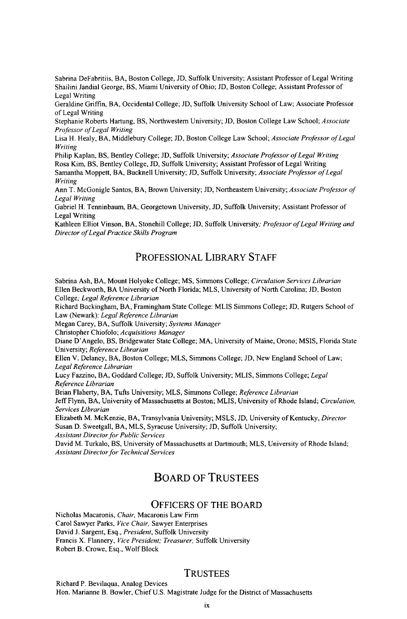Sabrina DeFabritiis, BA, Boston College, JD, Suffolk University; Assistant Professor of Legal Writing Shailini Jandial George, BS, Miami University of Ohio; JD, Boston College; Assistant Professor of Legal Writing

Geraldine Griffin, BA, Occidental College; JD, Suffolk University School of Law; Associate Professor of Legal Writing

Stephanie Roberts Hartung, BS, Northwestern University; JD, Boston College Law School; *Associate ProIessor of Legal Writing*

Lisa H. Healy, BA, Middlebury College; JD, Boston College Law School; *Associate Proessor of Legal Writing*

Philip Kaplan, BS, Bentley College; JD, Suffolk University; *Associate Professor of Legal Writing* Rosa Kim, BS, Bentley College, JD, Suffolk University; Assistant Professor of Legal Writing Samantha Moppett, BA, Bucknell University; JD, Suffolk University; *Associate Professor of Legal Writing*

Ann T. McGonigle Santos, BA, Brown University; JD, Northeastern University; *Associate Professor of Legal Writing*

Gabriel H. Tenninbaum, BA, Georgetown University, JD, Suffolk University; Assistant Professor of Legal Writing

Kathleen Elliot Vinson, BA, Stonehill College; JD, Suffolk University; *Professor of Legal Writing and Director ofLegal Practice Skills Program*

#### **PROFESSIONAL** LIBRARY **STAFF**

Sabrina Ash, BA, Mount Holyoke College; **MS,** Simmons College; *Circulation Services Librarian* Ellen Beckworth, BA University of North Florida; MLS, University of North Carolina; **JD,** Boston College; *Legal Reference Librarian*

Richard Buckingham, BA, Framingham State College: MLIS Simmons College; JD, Rutgers School of Law (Newark): *Legal Reference Librarian*

Megan Carey, BA, Suffolk University; *Systems Manager*

Christopher Chiofolo; *Acquisitions Manager*

Diane D'Angelo, BS, Bridgewater State College; MA, University of Maine, Orono; MSIS, Florida State University; *Reference Librarian*

Ellen V. Delaney, BA, Boston College; MLS, Simmons College, JD, New England School of Law; *Legal Reference Librarian*

Lucy Fazzino, BA, Goddard College; JD, Suffolk University; MLIS, Simmons College; *Legal Reference Librarian*

Brian Flaherty, BA, Tufts University; MLS, Simmons College; *Reference Librarian* Jeff Flynn, BA, University of Massachusetts at Boston; MLIS, University of Rhode Island; *Circulation, Services Librarian*

Elizabeth M. McKenzie, BA, Transylvania University; MSLS, JD, University of Kentucky, *Director* Susan D. Sweetgall, BA, MLS, Syracuse University; JD, Suffolk University;

*Assistant Director for Public Services*

David M. Turkalo, BS, University of Massachusetts at Dartmouth; MLS, University of Rhode Island; *Assistant Director for Technical Services*

## **BOARD** OF **TRUSTEES**

#### OFFICERS OF THE BOARD

Nicholas Macaronis, *Chair,* Macaronis Law Firm Carol Sawyer Parks, *Vice Chair,* Sawyer Enterprises David **J.** Sargent, Esq., *President,* Suffolk University Francis X. Flannery, *Vice President; Treasurer,* Suffolk University Robert B. Crowe, Esq., Wolf Block

#### **TRUSTEES**

Richard P. Bevilaqua, Analog Devices Hon. Marianne B. Bowler, Chief U.S. Magistrate Judge for the District of Massachusetts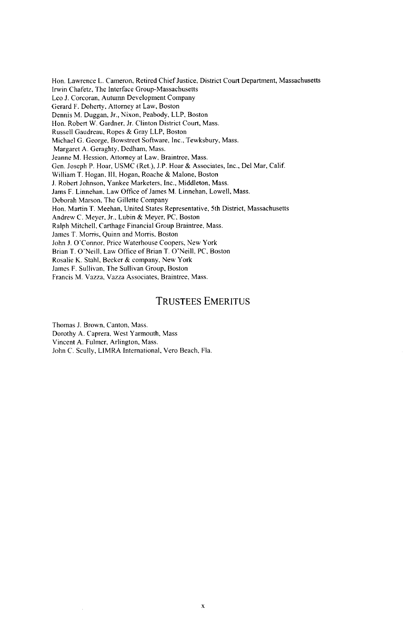Hon. Lawrence L. Cameron, Retired Chief Justice, District Court Department, Massachusetts Irwin Chafetz, The Interface Group-Massachusetts Leo J. Corcoran, Autumn Development Company Gerard F. Doherty, Attorney at Law, Boston Dennis M. Duggan, Jr., Nixon, Peabody, LLP, Boston Hon. Robert W. Gardner, Jr. Clinton District Court, Mass. Russell Gaudreau, Ropes & Gray LLP, Boston Michael G. George, Bowstreet Software, Inc., Tewksbury, Mass. Margaret **A.** Geraghty, Dedham, Mass. Jeanne M. Hession, Attorney at Law, Braintree, Mass. Gen. Joseph P. Hoar, USMC (Ret.), J.P. Hoar & Associates, Inc., Del Mar, Calif. William T. Hogan, **III,** Hogan, Roache & Malone, Boston J. Robert Johnson, Yankee Marketers, Inc., Middleton, Mass. Jams F. Linnehan, Law Office of James M. Linnehan, Lowell, Mass. Deborah Marson, The Gillette Company Hon. Martin T. Meehan, United States Representative, 5th District, Massachusetts Andrew C. Meyer, Jr., Lubin & Meyer, PC, Boston Ralph Mitchell, Carthage Financial Group Braintree, Mass. James T. Morris, Quinn and Morris, Boston John J. O'Connor. Price Waterhouse Coopers, New York Brian T. O'Neill, Law Office of Brian T. O'Neill, **PC,** Boston Rosalie K. Stahl, Becker & company, New York James F. Sullivan, The Sullivan Group, Boston Francis M. Vazza, Vazza Associates, Braintree, Mass.

#### TRUSTEES EMERITUS

Thomas J. Brown, Canton, Mass. Dorothy A. Caprera, West Yarmouth, Mass Vincent A. Fulmer, Arlington, Mass. John C. Scully, LIMRA International, Vero Beach, Fla.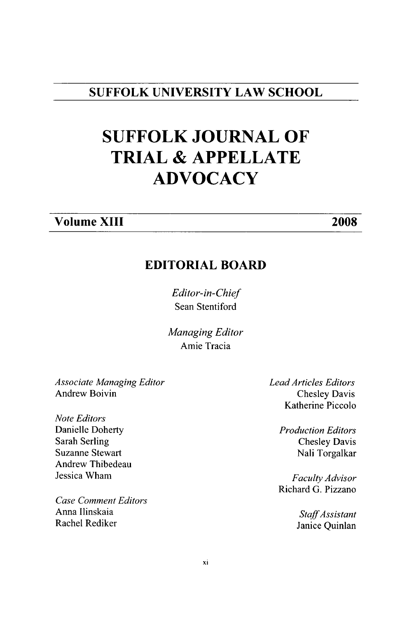## **SUFFOLK UNIVERSITY LAW SCHOOL**

# **SUFFOLK JOURNAL OF TRIAL & APPELLATE ADVOCACY**

# **Volume XIII 2008**

# **EDITORIAL BOARD**

*Editor-in-Chief* Sean Stentiford

*Managing Editor* Amie Tracia

*Associate Managing Editor* Andrew Boivin

*Note Editors* Danielle Doherty Sarah Serling Suzanne Stewart Andrew Thibedeau Jessica Wham

*Case Comment Editors* Anna linskaia Rachel Rediker

*Lead Articles Editors* Chesley Davis Katherine Piccolo

> *Production Editors* Chesley Davis Nali Torgalkar

*Faculty Advisor* Richard G. Pizzano

> *StaffAssistant* Janice Quinlan